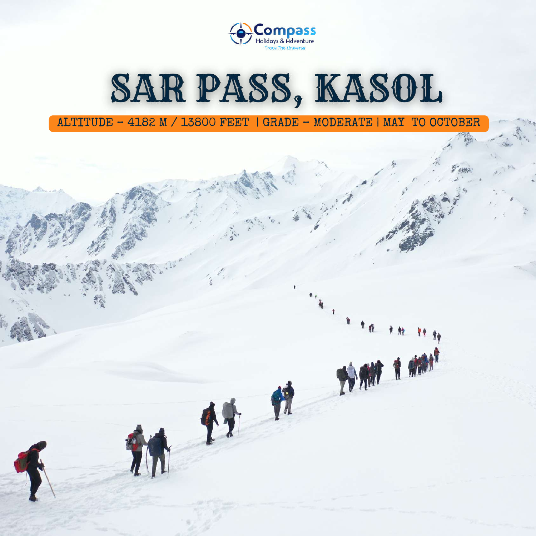

# SAR PASS, KASOL

 $ALTTUDE - 4182 M / 13800 FEET$  | GRADE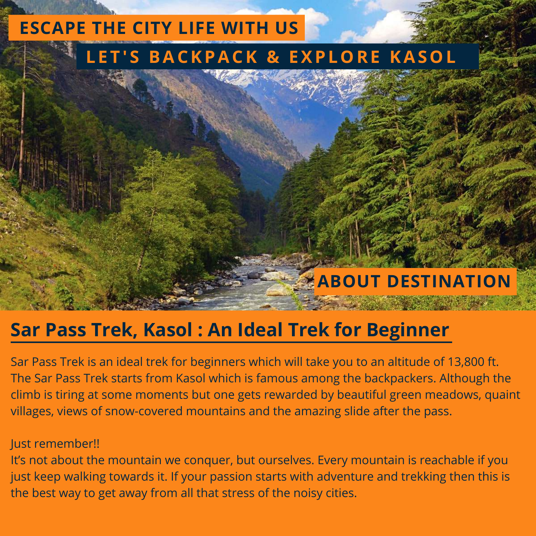# **ESCAPE THE CITY LIFE WITH US L E T ' S BACKPACK & EXPLORE KASOL**

# **ABOUT DESTINATION**

# **Sar Pass Trek, Kasol : An Ideal Trek for Beginner**

Sar Pass Trek is an ideal trek for beginners which will take you to an altitude of 13,800 ft. The Sar Pass Trek starts from Kasol which is famous among the backpackers. Although the climb is tiring at some moments but one gets rewarded by beautiful green meadows, quaint villages, views of snow-covered mountains and the amazing slide after the pass.

#### Just remember!!

It's not about the mountain we conquer, but ourselves. Every mountain is reachable if you just keep walking towards it. If your passion starts with adventure and trekking then this is the best way to get away from all that stress of the noisy cities.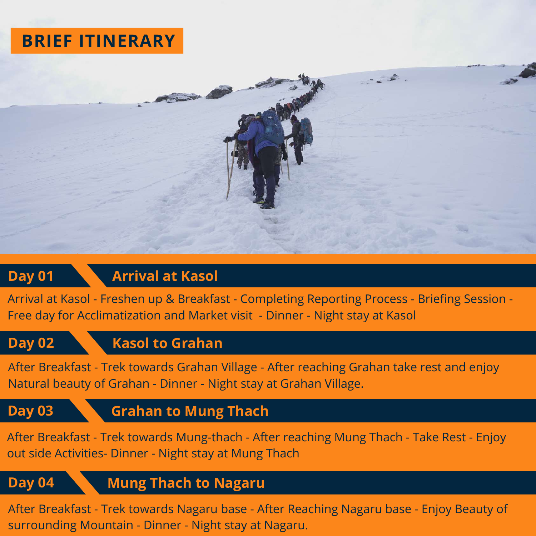# **BRIEF ITINERARY**



# **Day 01 Arrival at Kasol**

Arrival at Kasol - Freshen up & Breakfast - Completing Reporting Process - Briefing Session - Free day for Acclimatization and Market visit - Dinner - Night stay at Kasol

# **Day 02 Kasol to Grahan**

After Breakfast - Trek towards Grahan Village - After reaching Grahan take rest and enjoy Natural beauty of Grahan - Dinner - Night stay at Grahan Village.

# **Day 03 Grahan to Mung Thach**

After Breakfast - Trek towards Mung-thach - After reaching Mung Thach - Take Rest - Enjoy out side Activities- Dinner - Night stay at Mung Thach

**Day 04 Mung Thach to Nagaru**

After Breakfast - Trek towards Nagaru base - After Reaching Nagaru base - Enjoy Beauty of surrounding Mountain - Dinner - Night stay at Nagaru.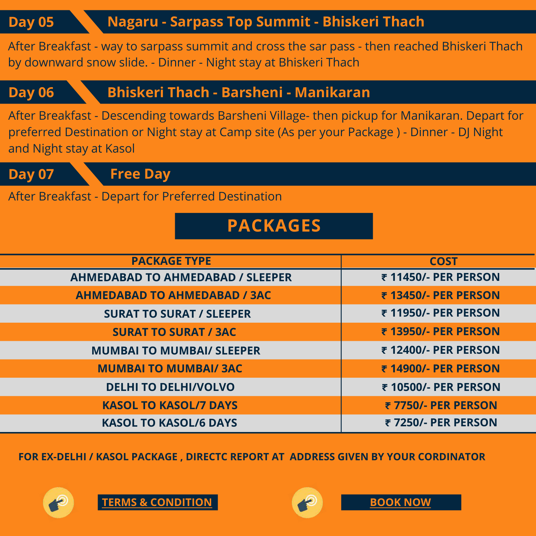# **Day 05 Nagaru - Sarpass Top Summit - Bhiskeri Thach**

After Breakfast - way to sarpass summit and cross the sar pass - then reached Bhiskeri Thach by downward snow slide. - Dinner - Night stay at Bhiskeri Thach

### **Day 06 Bhiskeri Thach - Barsheni - Manikaran**

After Breakfast - Descending towards Barsheni Village- then pickup for Manikaran. Depart for preferred Destination or Night stay at Camp site (As per your Package ) - Dinner - DJ Night and Night stay at Kasol

**Day 07 Free Day**

After Breakfast - Depart for Preferred Destination

# **PACKAGES**

| <b>PACKAGE TYPE</b>                     | <b>COST</b>          |
|-----------------------------------------|----------------------|
| <b>AHMEDABAD TO AHMEDABAD / SLEEPER</b> | ₹11450/- PER PERSON  |
| <b>AHMEDABAD TO AHMEDABAD / 3AC</b>     | ₹13450/- PER PERSON  |
| <b>SURAT TO SURAT / SLEEPER</b>         | ₹11950/- PER PERSON  |
| <b>SURAT TO SURAT / 3AC</b>             | ₹13950/- PER PERSON  |
| <b>MUMBAI TO MUMBAI/ SLEEPER</b>        | ₹12400/- PER PERSON  |
| <b>MUMBAI TO MUMBAI/ 3AC</b>            | ₹ 14900/- PER PERSON |
| <b>DELHI TO DELHI/VOLVO</b>             | ₹ 10500/- PER PERSON |
| <b>KASOL TO KASOL/7 DAYS</b>            | ₹7750/- PER PERSON   |
| <b>KASOL TO KASOL/6 DAYS</b>            | ₹7250/- PER PERSON   |

**FOR EX-DELHI / KASOL PACKAGE , DIRECTC REPORT AT ADDRESS GIVEN BY YOUR CORDINATOR**



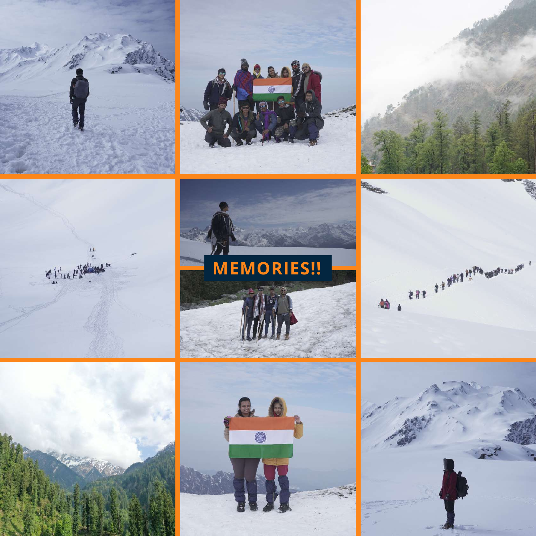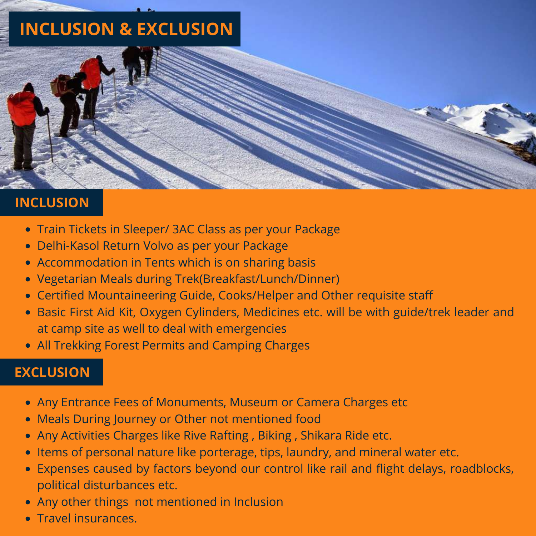# **INCLUSION & EXCLUSION**



### **INCLUSION**

- Train Tickets in Sleeper/ 3AC Class as per your Package
- Delhi-Kasol Return Volvo as per your Package
- Accommodation in Tents which is on sharing basis  $\bullet$
- Vegetarian Meals during Trek(Breakfast/Lunch/Dinner)
- Certified Mountaineering Guide, Cooks/Helper and Other requisite staff  $\bullet$
- Basic First Aid Kit, Oxygen Cylinders, Medicines etc. will be with guide/trek leader and at camp site as well to deal with emergencies
- All Trekking Forest Permits and Camping Charges

# **EXCLUSION**

- Any Entrance Fees of Monuments, Museum or Camera Charges etc
- Meals During Journey or Other not mentioned food  $\bullet$
- Any Activities Charges like Rive Rafting , Biking , Shikara Ride etc.
- Items of personal nature like porterage, tips, laundry, and mineral water etc.
- Expenses caused by factors beyond our control like rail and flight delays, roadblocks,  $\bullet$ political disturbances etc.
- Any other things not mentioned in Inclusion
- Travel insurances.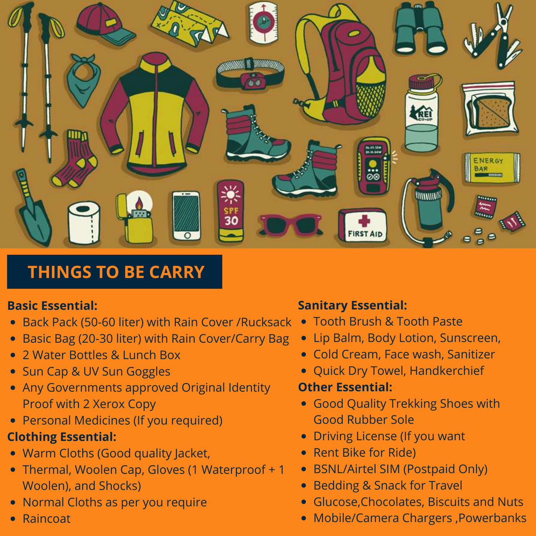

# **THINGS TO BE CARRY**

#### **Basic Essential:**

- Back Pack (50-60 liter) with Rain Cover /Rucksack  $\bullet$
- Basic Bag (20-30 liter) with Rain Cover/Carry Bag  $\bullet$
- 2 Water Bottles & Lunch Box  $\bullet$
- Sun Cap & UV Sun Goggles  $\bullet$
- Any Governments approved Original Identity  $\bullet$ Proof with 2 Xerox Copy
- Personal Medicines (If you required)  $\bullet$

### **Clothing Essential:**

- Warm Cloths (Good quality Jacket,  $\bullet$
- Thermal, Woolen Cap, Gloves (1 Waterproof + 1  $\bullet$ Woolen), and Shocks)
- Normal Cloths as per you require  $\bullet$
- Raincoat  $\bullet$

#### **Sanitary Essential:**

- Tooth Brush & Tooth Paste
- Lip Balm, Body Lotion, Sunscreen,
- Cold Cream, Face wash, Sanitizer
- Quick Dry Towel, Handkerchief

#### **Other Essential:**

- Good Quality Trekking Shoes with Good Rubber Sole
- Driving License (If you want
- Rent Bike for Ride)
- BSNL/Airtel SIM (Postpaid Only)
- Bedding & Snack for Travel
- Glucose,Chocolates, Biscuits and Nuts
- Mobile/Camera Chargers ,Powerbanks